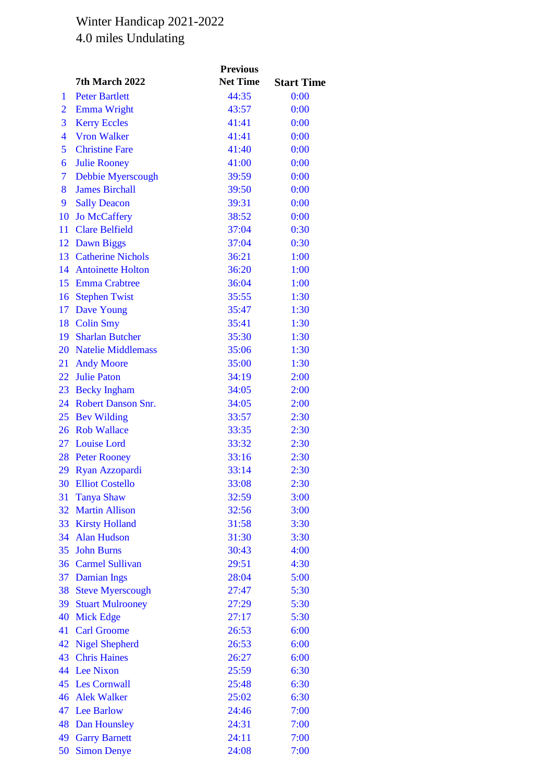## Winter Handicap 2021-2022 4.0 miles Undulating

|                         |                           | <b>Previous</b> |                   |
|-------------------------|---------------------------|-----------------|-------------------|
|                         | 7th March 2022            | <b>Net Time</b> | <b>Start Time</b> |
| 1                       | <b>Peter Bartlett</b>     | 44:35           | 0:00              |
| $\overline{2}$          | <b>Emma Wright</b>        | 43:57           | 0:00              |
| 3                       | <b>Kerry Eccles</b>       | 41:41           | 0:00              |
| $\overline{\mathbf{4}}$ | <b>Vron Walker</b>        | 41:41           | 0:00              |
| 5                       | <b>Christine Fare</b>     | 41:40           | 0:00              |
| 6                       | <b>Julie Rooney</b>       | 41:00           | 0:00              |
| 7                       | Debbie Myerscough         | 39:59           | 0:00              |
| 8                       | <b>James Birchall</b>     | 39:50           | 0:00              |
| 9                       | <b>Sally Deacon</b>       | 39:31           | 0:00              |
| 10                      | <b>Jo McCaffery</b>       | 38:52           | 0:00              |
| 11                      | <b>Clare Belfield</b>     | 37:04           | 0:30              |
|                         | 12 Dawn Biggs             | 37:04           | 0:30              |
|                         | 13 Catherine Nichols      | 36:21           | 1:00              |
|                         | 14 Antoinette Holton      | 36:20           | 1:00              |
|                         | 15 Emma Crabtree          | 36:04           | 1:00              |
| 16                      | <b>Stephen Twist</b>      | 35:55           | 1:30              |
|                         | 17 Dave Young             | 35:47           | 1:30              |
| 18                      | <b>Colin Smy</b>          | 35:41           | 1:30              |
|                         | 19 Sharlan Butcher        | 35:30           | 1:30              |
|                         | 20 Natelie Middlemass     | 35:06           | 1:30              |
| 21                      | <b>Andy Moore</b>         | 35:00           | 1:30              |
| 22                      | <b>Julie Paton</b>        | 34:19           | 2:00              |
|                         | 23 Becky Ingham           | 34:05           | 2:00              |
| 24                      | <b>Robert Danson Snr.</b> | 34:05           | 2:00              |
| 25                      | <b>Bev Wilding</b>        | 33:57           | 2:30              |
| 26                      | <b>Rob Wallace</b>        | 33:35           | 2:30              |
| 27                      | <b>Louise Lord</b>        | 33:32           | 2:30              |
| 28                      | <b>Peter Rooney</b>       | 33:16           | 2:30              |
| 29                      | Ryan Azzopardi            | 33:14           | 2:30              |
| 30                      | <b>Elliot Costello</b>    | 33:08           | 2:30              |
| 31                      | <b>Tanya Shaw</b>         | 32:59           | 3:00              |
| 32                      | <b>Martin Allison</b>     | 32:56           | 3:00              |
| 33                      | <b>Kirsty Holland</b>     | 31:58           | 3:30              |
| 34                      | <b>Alan Hudson</b>        | 31:30           | 3:30              |
| 35                      | <b>John Burns</b>         | 30:43           | 4:00              |
| 36                      | <b>Carmel Sullivan</b>    | 29:51           | 4:30              |
| 37                      | <b>Damian Ings</b>        | 28:04           | 5:00              |
| 38                      | <b>Steve Myerscough</b>   | 27:47           | 5:30              |
| 39                      | <b>Stuart Mulrooney</b>   | 27:29           | 5:30              |
| 40                      | <b>Mick Edge</b>          | 27:17           | 5:30              |
| 41                      | <b>Carl Groome</b>        | 26:53           | 6:00              |
| 42                      | <b>Nigel Shepherd</b>     | 26:53           | 6:00              |
| 43                      | <b>Chris Haines</b>       | 26:27           | 6:00              |
| 44                      | <b>Lee Nixon</b>          | 25:59           | 6:30              |
| 45                      | <b>Les Cornwall</b>       | 25:48           | 6:30              |
| 46                      | <b>Alek Walker</b>        | 25:02           | 6:30              |
| 47                      | <b>Lee Barlow</b>         | 24:46           | 7:00              |
| 48                      | Dan Hounsley              | 24:31           | 7:00              |
| 49                      | <b>Garry Barnett</b>      | 24:11           | 7:00              |
| 50                      | <b>Simon Denye</b>        | 24:08           | 7:00              |
|                         |                           |                 |                   |